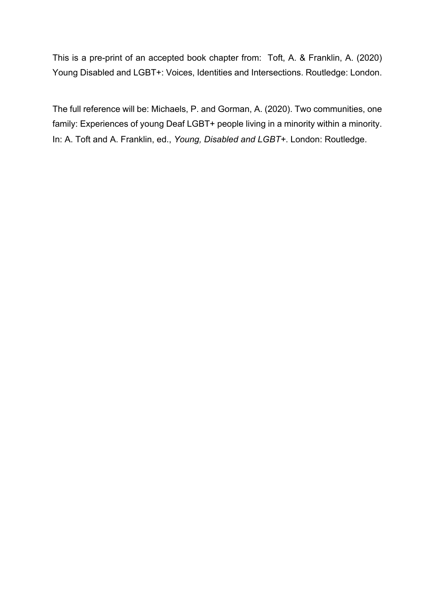This is a pre-print of an accepted book chapter from: Toft, A. & Franklin, A. (2020) Young Disabled and LGBT+: Voices, Identities and Intersections. Routledge: London.

The full reference will be: Michaels, P. and Gorman, A. (2020). Two communities, one family: Experiences of young Deaf LGBT+ people living in a minority within a minority. In: A. Toft and A. Franklin, ed., *Young, Disabled and LGBT+*. London: Routledge.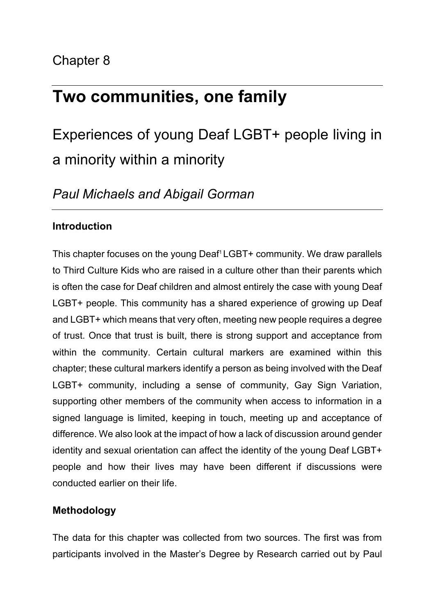# **Two communities, one family**

# Experiences of young Deaf LGBT+ people living in a minority within a minority

# *Paul Michaels and Abigail Gorman*

# **Introduction**

This chapter focuses on the young Deaf<sup>1</sup> LGBT+ community. We draw parallels to Third Culture Kids who are raised in a culture other than their parents which is often the case for Deaf children and almost entirely the case with young Deaf LGBT+ people. This community has a shared experience of growing up Deaf and LGBT+ which means that very often, meeting new people requires a degree of trust. Once that trust is built, there is strong support and acceptance from within the community. Certain cultural markers are examined within this chapter; these cultural markers identify a person as being involved with the Deaf LGBT+ community, including a sense of community, Gay Sign Variation, supporting other members of the community when access to information in a signed language is limited, keeping in touch, meeting up and acceptance of difference. We also look at the impact of how a lack of discussion around gender identity and sexual orientation can affect the identity of the young Deaf LGBT+ people and how their lives may have been different if discussions were conducted earlier on their life.

# **Methodology**

The data for this chapter was collected from two sources. The first was from participants involved in the Master's Degree by Research carried out by Paul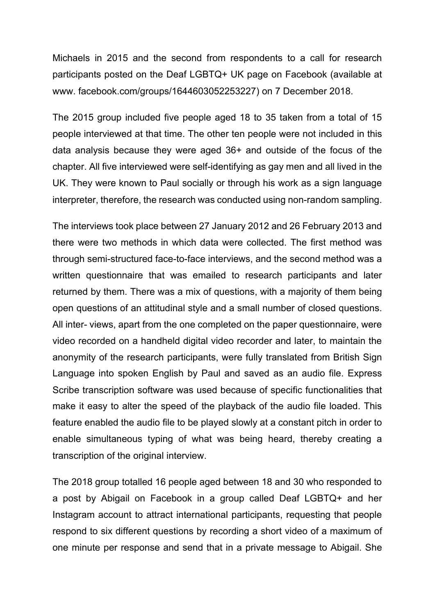Michaels in 2015 and the second from respondents to a call for research participants posted on the Deaf LGBTQ+ UK page on Facebook (available at www. facebook.com/groups/1644603052253227) on 7 December 2018.

The 2015 group included five people aged 18 to 35 taken from a total of 15 people interviewed at that time. The other ten people were not included in this data analysis because they were aged 36+ and outside of the focus of the chapter. All five interviewed were self-identifying as gay men and all lived in the UK. They were known to Paul socially or through his work as a sign language interpreter, therefore, the research was conducted using non-random sampling.

The interviews took place between 27 January 2012 and 26 February 2013 and there were two methods in which data were collected. The first method was through semi-structured face-to-face interviews, and the second method was a written questionnaire that was emailed to research participants and later returned by them. There was a mix of questions, with a majority of them being open questions of an attitudinal style and a small number of closed questions. All inter- views, apart from the one completed on the paper questionnaire, were video recorded on a handheld digital video recorder and later, to maintain the anonymity of the research participants, were fully translated from British Sign Language into spoken English by Paul and saved as an audio file. Express Scribe transcription software was used because of specific functionalities that make it easy to alter the speed of the playback of the audio file loaded. This feature enabled the audio file to be played slowly at a constant pitch in order to enable simultaneous typing of what was being heard, thereby creating a transcription of the original interview.

The 2018 group totalled 16 people aged between 18 and 30 who responded to a post by Abigail on Facebook in a group called Deaf LGBTQ+ and her Instagram account to attract international participants, requesting that people respond to six different questions by recording a short video of a maximum of one minute per response and send that in a private message to Abigail. She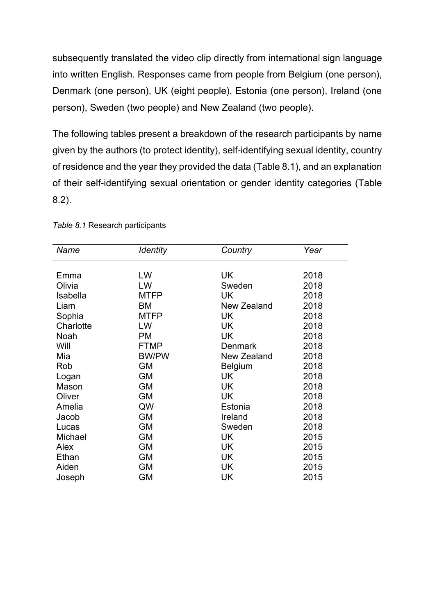subsequently translated the video clip directly from international sign language into written English. Responses came from people from Belgium (one person), Denmark (one person), UK (eight people), Estonia (one person), Ireland (one person), Sweden (two people) and New Zealand (two people).

The following tables present a breakdown of the research participants by name given by the authors (to protect identity), self-identifying sexual identity, country of residence and the year they provided the data (Table 8.1), and an explanation of their self-identifying sexual orientation or gender identity categories (Table 8.2).

| Name      | <b>Identity</b> | Country        | Year |
|-----------|-----------------|----------------|------|
|           |                 |                |      |
| Emma      | LW              | UK             | 2018 |
| Olivia    | LW              | Sweden         | 2018 |
| Isabella  | <b>MTFP</b>     | UK             | 2018 |
| Liam      | ВM              | New Zealand    | 2018 |
| Sophia    | <b>MTFP</b>     | <b>UK</b>      | 2018 |
| Charlotte | LW              | UK             | 2018 |
| Noah      | <b>PM</b>       | UK             | 2018 |
| Will      | <b>FTMP</b>     | <b>Denmark</b> | 2018 |
| Mia       | <b>BW/PW</b>    | New Zealand    | 2018 |
| Rob       | <b>GM</b>       | <b>Belgium</b> | 2018 |
| Logan     | <b>GM</b>       | UK             | 2018 |
| Mason     | <b>GM</b>       | UK             | 2018 |
| Oliver    | <b>GM</b>       | UK             | 2018 |
| Amelia    | QW              | Estonia        | 2018 |
| Jacob     | <b>GM</b>       | Ireland        | 2018 |
| Lucas     | <b>GM</b>       | Sweden         | 2018 |
| Michael   | <b>GM</b>       | UK             | 2015 |
| Alex      | <b>GM</b>       | UK             | 2015 |
| Ethan     | <b>GM</b>       | UK             | 2015 |
| Aiden     | <b>GM</b>       | <b>UK</b>      | 2015 |
| Joseph    | <b>GM</b>       | UK             | 2015 |

#### *Table 8.1* Research participants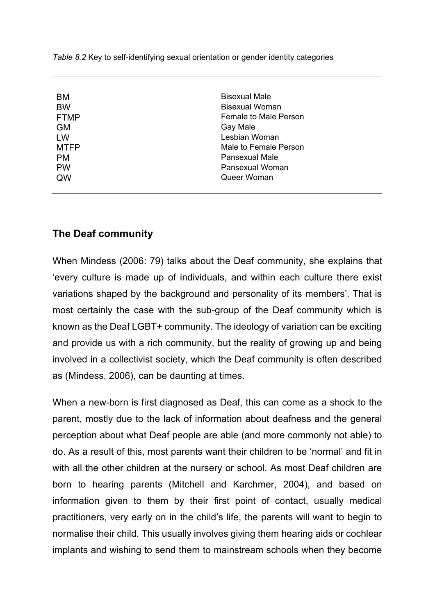*Table 8.2* Key to self-identifying sexual orientation or gender identity categories

| ВM<br><b>BW</b><br><b>FTMP</b><br><b>GM</b> | <b>Bisexual Male</b><br><b>Bisexual Woman</b><br>Female to Male Person<br>Gay Male |
|---------------------------------------------|------------------------------------------------------------------------------------|
| LW                                          | Lesbian Woman                                                                      |
| <b>MTFP</b>                                 | Male to Female Person                                                              |
| <b>PM</b>                                   | <b>Pansexual Male</b>                                                              |
| <b>PW</b>                                   | Pansexual Woman                                                                    |
| QW                                          | Queer Woman                                                                        |

#### **The Deaf community**

When Mindess (2006: 79) talks about the Deaf community, she explains that 'every culture is made up of individuals, and within each culture there exist variations shaped by the background and personality of its members'. That is most certainly the case with the sub-group of the Deaf community which is known as the Deaf LGBT+ community. The ideology of variation can be exciting and provide us with a rich community, but the reality of growing up and being involved in a collectivist society, which the Deaf community is often described as (Mindess, 2006), can be daunting at times.

When a new-born is first diagnosed as Deaf, this can come as a shock to the parent, mostly due to the lack of information about deafness and the general perception about what Deaf people are able (and more commonly not able) to do. As a result of this, most parents want their children to be 'normal' and fit in with all the other children at the nursery or school. As most Deaf children are born to hearing parents (Mitchell and Karchmer, 2004), and based on information given to them by their first point of contact, usually medical practitioners, very early on in the child's life, the parents will want to begin to normalise their child. This usually involves giving them hearing aids or cochlear implants and wishing to send them to mainstream schools when they become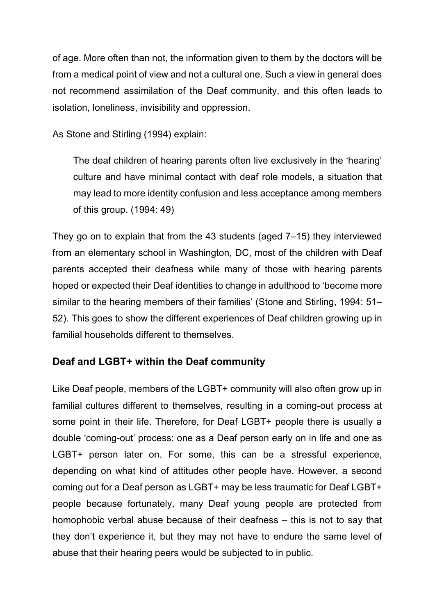of age. More often than not, the information given to them by the doctors will be from a medical point of view and not a cultural one. Such a view in general does not recommend assimilation of the Deaf community, and this often leads to isolation, loneliness, invisibility and oppression.

As Stone and Stirling (1994) explain:

The deaf children of hearing parents often live exclusively in the 'hearing' culture and have minimal contact with deaf role models, a situation that may lead to more identity confusion and less acceptance among members of this group. (1994: 49)

They go on to explain that from the 43 students (aged 7–15) they interviewed from an elementary school in Washington, DC, most of the children with Deaf parents accepted their deafness while many of those with hearing parents hoped or expected their Deaf identities to change in adulthood to 'become more similar to the hearing members of their families' (Stone and Stirling, 1994: 51– 52). This goes to show the different experiences of Deaf children growing up in familial households different to themselves.

# **Deaf and LGBT+ within the Deaf community**

Like Deaf people, members of the LGBT+ community will also often grow up in familial cultures different to themselves, resulting in a coming-out process at some point in their life. Therefore, for Deaf LGBT+ people there is usually a double 'coming-out' process: one as a Deaf person early on in life and one as LGBT+ person later on. For some, this can be a stressful experience, depending on what kind of attitudes other people have. However, a second coming out for a Deaf person as LGBT+ may be less traumatic for Deaf LGBT+ people because fortunately, many Deaf young people are protected from homophobic verbal abuse because of their deafness – this is not to say that they don't experience it, but they may not have to endure the same level of abuse that their hearing peers would be subjected to in public.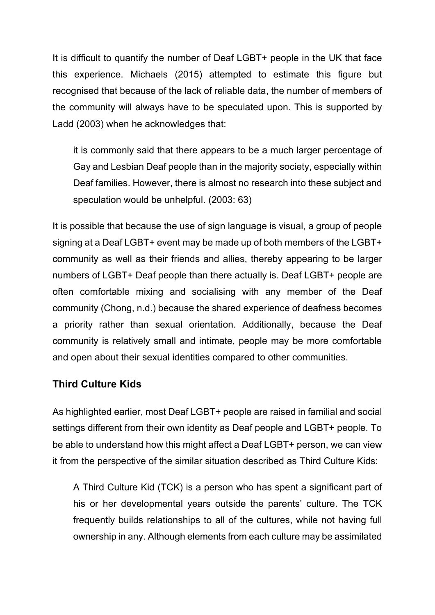It is difficult to quantify the number of Deaf LGBT+ people in the UK that face this experience. Michaels (2015) attempted to estimate this figure but recognised that because of the lack of reliable data, the number of members of the community will always have to be speculated upon. This is supported by Ladd (2003) when he acknowledges that:

it is commonly said that there appears to be a much larger percentage of Gay and Lesbian Deaf people than in the majority society, especially within Deaf families. However, there is almost no research into these subject and speculation would be unhelpful. (2003: 63)

It is possible that because the use of sign language is visual, a group of people signing at a Deaf LGBT+ event may be made up of both members of the LGBT+ community as well as their friends and allies, thereby appearing to be larger numbers of LGBT+ Deaf people than there actually is. Deaf LGBT+ people are often comfortable mixing and socialising with any member of the Deaf community (Chong, n.d.) because the shared experience of deafness becomes a priority rather than sexual orientation. Additionally, because the Deaf community is relatively small and intimate, people may be more comfortable and open about their sexual identities compared to other communities.

## **Third Culture Kids**

As highlighted earlier, most Deaf LGBT+ people are raised in familial and social settings different from their own identity as Deaf people and LGBT+ people. To be able to understand how this might affect a Deaf LGBT+ person, we can view it from the perspective of the similar situation described as Third Culture Kids:

A Third Culture Kid (TCK) is a person who has spent a significant part of his or her developmental years outside the parents' culture. The TCK frequently builds relationships to all of the cultures, while not having full ownership in any. Although elements from each culture may be assimilated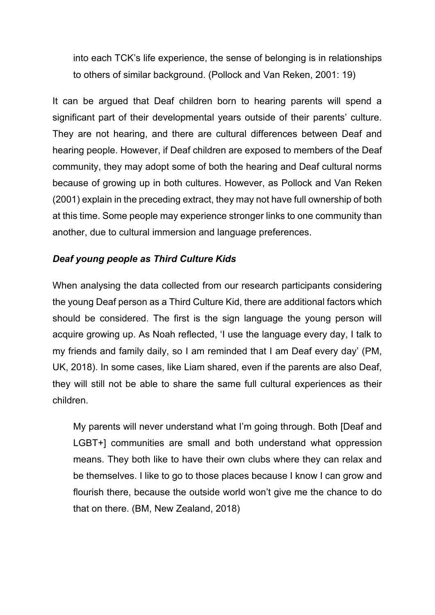into each TCK's life experience, the sense of belonging is in relationships to others of similar background. (Pollock and Van Reken, 2001: 19)

It can be argued that Deaf children born to hearing parents will spend a significant part of their developmental years outside of their parents' culture. They are not hearing, and there are cultural differences between Deaf and hearing people. However, if Deaf children are exposed to members of the Deaf community, they may adopt some of both the hearing and Deaf cultural norms because of growing up in both cultures. However, as Pollock and Van Reken (2001) explain in the preceding extract, they may not have full ownership of both at this time. Some people may experience stronger links to one community than another, due to cultural immersion and language preferences.

#### *Deaf young people as Third Culture Kids*

When analysing the data collected from our research participants considering the young Deaf person as a Third Culture Kid, there are additional factors which should be considered. The first is the sign language the young person will acquire growing up. As Noah reflected, 'I use the language every day, I talk to my friends and family daily, so I am reminded that I am Deaf every day' (PM, UK, 2018). In some cases, like Liam shared, even if the parents are also Deaf, they will still not be able to share the same full cultural experiences as their children.

My parents will never understand what I'm going through. Both [Deaf and LGBT+] communities are small and both understand what oppression means. They both like to have their own clubs where they can relax and be themselves. I like to go to those places because I know I can grow and flourish there, because the outside world won't give me the chance to do that on there. (BM, New Zealand, 2018)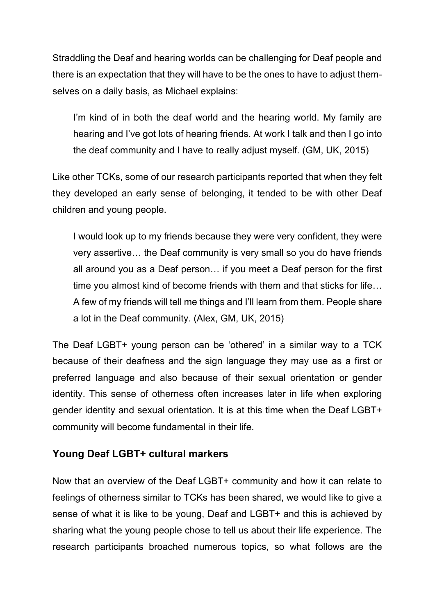Straddling the Deaf and hearing worlds can be challenging for Deaf people and there is an expectation that they will have to be the ones to have to adjust themselves on a daily basis, as Michael explains:

I'm kind of in both the deaf world and the hearing world. My family are hearing and I've got lots of hearing friends. At work I talk and then I go into the deaf community and I have to really adjust myself. (GM, UK, 2015)

Like other TCKs, some of our research participants reported that when they felt they developed an early sense of belonging, it tended to be with other Deaf children and young people.

I would look up to my friends because they were very confident, they were very assertive… the Deaf community is very small so you do have friends all around you as a Deaf person… if you meet a Deaf person for the first time you almost kind of become friends with them and that sticks for life… A few of my friends will tell me things and I'll learn from them. People share a lot in the Deaf community. (Alex, GM, UK, 2015)

The Deaf LGBT+ young person can be 'othered' in a similar way to a TCK because of their deafness and the sign language they may use as a first or preferred language and also because of their sexual orientation or gender identity. This sense of otherness often increases later in life when exploring gender identity and sexual orientation. It is at this time when the Deaf LGBT+ community will become fundamental in their life.

## **Young Deaf LGBT+ cultural markers**

Now that an overview of the Deaf LGBT+ community and how it can relate to feelings of otherness similar to TCKs has been shared, we would like to give a sense of what it is like to be young, Deaf and LGBT+ and this is achieved by sharing what the young people chose to tell us about their life experience. The research participants broached numerous topics, so what follows are the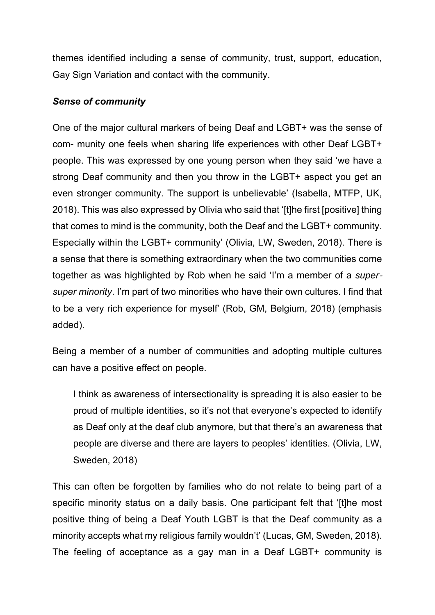themes identified including a sense of community, trust, support, education, Gay Sign Variation and contact with the community.

#### *Sense of community*

One of the major cultural markers of being Deaf and LGBT+ was the sense of com- munity one feels when sharing life experiences with other Deaf LGBT+ people. This was expressed by one young person when they said 'we have a strong Deaf community and then you throw in the LGBT+ aspect you get an even stronger community. The support is unbelievable' (Isabella, MTFP, UK, 2018). This was also expressed by Olivia who said that '[t]he first [positive] thing that comes to mind is the community, both the Deaf and the LGBT+ community. Especially within the LGBT+ community' (Olivia, LW, Sweden, 2018). There is a sense that there is something extraordinary when the two communities come together as was highlighted by Rob when he said 'I'm a member of a *supersuper minority*. I'm part of two minorities who have their own cultures. I find that to be a very rich experience for myself' (Rob, GM, Belgium, 2018) (emphasis added).

Being a member of a number of communities and adopting multiple cultures can have a positive effect on people.

I think as awareness of intersectionality is spreading it is also easier to be proud of multiple identities, so it's not that everyone's expected to identify as Deaf only at the deaf club anymore, but that there's an awareness that people are diverse and there are layers to peoples' identities. (Olivia, LW, Sweden, 2018)

This can often be forgotten by families who do not relate to being part of a specific minority status on a daily basis. One participant felt that '[t]he most positive thing of being a Deaf Youth LGBT is that the Deaf community as a minority accepts what my religious family wouldn't' (Lucas, GM, Sweden, 2018). The feeling of acceptance as a gay man in a Deaf LGBT+ community is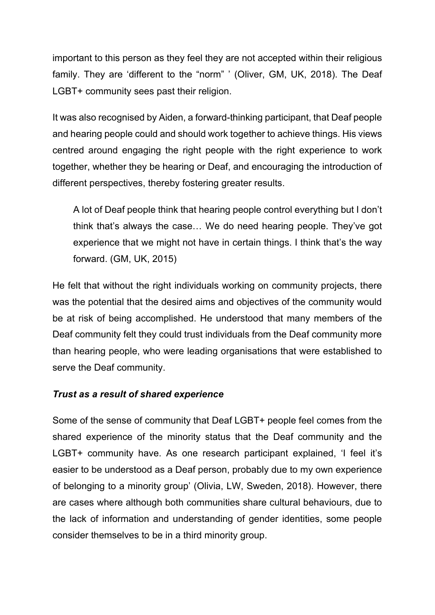important to this person as they feel they are not accepted within their religious family. They are 'different to the "norm" ' (Oliver, GM, UK, 2018). The Deaf LGBT+ community sees past their religion.

It was also recognised by Aiden, a forward-thinking participant, that Deaf people and hearing people could and should work together to achieve things. His views centred around engaging the right people with the right experience to work together, whether they be hearing or Deaf, and encouraging the introduction of different perspectives, thereby fostering greater results.

A lot of Deaf people think that hearing people control everything but I don't think that's always the case… We do need hearing people. They've got experience that we might not have in certain things. I think that's the way forward. (GM, UK, 2015)

He felt that without the right individuals working on community projects, there was the potential that the desired aims and objectives of the community would be at risk of being accomplished. He understood that many members of the Deaf community felt they could trust individuals from the Deaf community more than hearing people, who were leading organisations that were established to serve the Deaf community.

#### *Trust as a result of shared experience*

Some of the sense of community that Deaf LGBT+ people feel comes from the shared experience of the minority status that the Deaf community and the LGBT+ community have. As one research participant explained, 'I feel it's easier to be understood as a Deaf person, probably due to my own experience of belonging to a minority group' (Olivia, LW, Sweden, 2018). However, there are cases where although both communities share cultural behaviours, due to the lack of information and understanding of gender identities, some people consider themselves to be in a third minority group.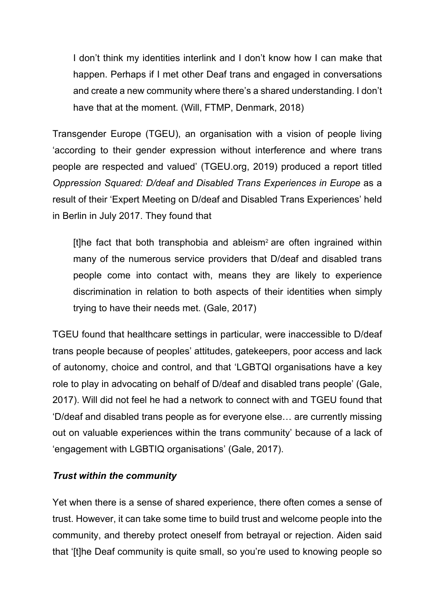I don't think my identities interlink and I don't know how I can make that happen. Perhaps if I met other Deaf trans and engaged in conversations and create a new community where there's a shared understanding. I don't have that at the moment. (Will, FTMP, Denmark, 2018)

Transgender Europe (TGEU), an organisation with a vision of people living 'according to their gender expression without interference and where trans people are respected and valued' (TGEU.org, 2019) produced a report titled *Oppression Squared: D/deaf and Disabled Trans Experiences in Europe* as a result of their 'Expert Meeting on D/deaf and Disabled Trans Experiences' held in Berlin in July 2017. They found that

[t]he fact that both transphobia and ableism<sup>2</sup> are often ingrained within many of the numerous service providers that D/deaf and disabled trans people come into contact with, means they are likely to experience discrimination in relation to both aspects of their identities when simply trying to have their needs met. (Gale, 2017)

TGEU found that healthcare settings in particular, were inaccessible to D/deaf trans people because of peoples' attitudes, gatekeepers, poor access and lack of autonomy, choice and control, and that 'LGBTQI organisations have a key role to play in advocating on behalf of D/deaf and disabled trans people' (Gale, 2017). Will did not feel he had a network to connect with and TGEU found that 'D/deaf and disabled trans people as for everyone else… are currently missing out on valuable experiences within the trans community' because of a lack of 'engagement with LGBTIQ organisations' (Gale, 2017).

#### *Trust within the community*

Yet when there is a sense of shared experience, there often comes a sense of trust. However, it can take some time to build trust and welcome people into the community, and thereby protect oneself from betrayal or rejection. Aiden said that '[t]he Deaf community is quite small, so you're used to knowing people so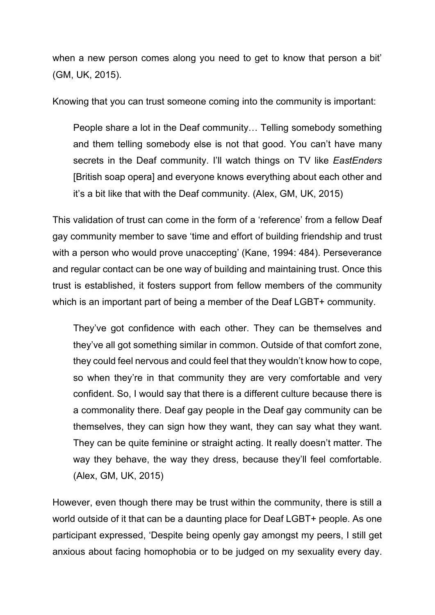when a new person comes along you need to get to know that person a bit' (GM, UK, 2015).

Knowing that you can trust someone coming into the community is important:

People share a lot in the Deaf community… Telling somebody something and them telling somebody else is not that good. You can't have many secrets in the Deaf community. I'll watch things on TV like *EastEnders*  [British soap opera] and everyone knows everything about each other and it's a bit like that with the Deaf community. (Alex, GM, UK, 2015)

This validation of trust can come in the form of a 'reference' from a fellow Deaf gay community member to save 'time and effort of building friendship and trust with a person who would prove unaccepting' (Kane, 1994: 484). Perseverance and regular contact can be one way of building and maintaining trust. Once this trust is established, it fosters support from fellow members of the community which is an important part of being a member of the Deaf LGBT+ community.

They've got confidence with each other. They can be themselves and they've all got something similar in common. Outside of that comfort zone, they could feel nervous and could feel that they wouldn't know how to cope, so when they're in that community they are very comfortable and very confident. So, I would say that there is a different culture because there is a commonality there. Deaf gay people in the Deaf gay community can be themselves, they can sign how they want, they can say what they want. They can be quite feminine or straight acting. It really doesn't matter. The way they behave, the way they dress, because they'll feel comfortable. (Alex, GM, UK, 2015)

However, even though there may be trust within the community, there is still a world outside of it that can be a daunting place for Deaf LGBT+ people. As one participant expressed, 'Despite being openly gay amongst my peers, I still get anxious about facing homophobia or to be judged on my sexuality every day.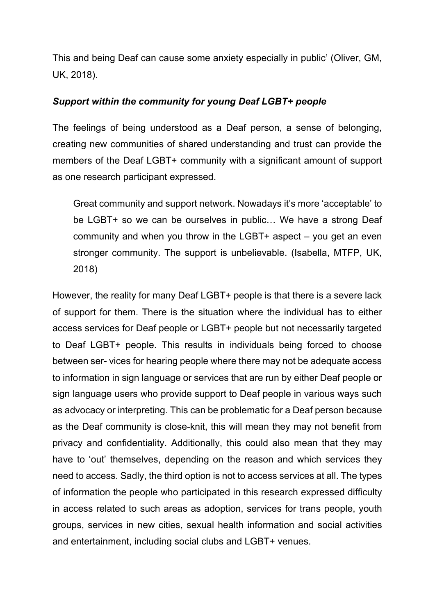This and being Deaf can cause some anxiety especially in public' (Oliver, GM, UK, 2018).

#### *Support within the community for young Deaf LGBT+ people*

The feelings of being understood as a Deaf person, a sense of belonging, creating new communities of shared understanding and trust can provide the members of the Deaf LGBT+ community with a significant amount of support as one research participant expressed.

Great community and support network. Nowadays it's more 'acceptable' to be LGBT+ so we can be ourselves in public… We have a strong Deaf community and when you throw in the LGBT+ aspect – you get an even stronger community. The support is unbelievable. (Isabella, MTFP, UK, 2018)

However, the reality for many Deaf LGBT+ people is that there is a severe lack of support for them. There is the situation where the individual has to either access services for Deaf people or LGBT+ people but not necessarily targeted to Deaf LGBT+ people. This results in individuals being forced to choose between ser- vices for hearing people where there may not be adequate access to information in sign language or services that are run by either Deaf people or sign language users who provide support to Deaf people in various ways such as advocacy or interpreting. This can be problematic for a Deaf person because as the Deaf community is close-knit, this will mean they may not benefit from privacy and confidentiality. Additionally, this could also mean that they may have to 'out' themselves, depending on the reason and which services they need to access. Sadly, the third option is not to access services at all. The types of information the people who participated in this research expressed difficulty in access related to such areas as adoption, services for trans people, youth groups, services in new cities, sexual health information and social activities and entertainment, including social clubs and LGBT+ venues.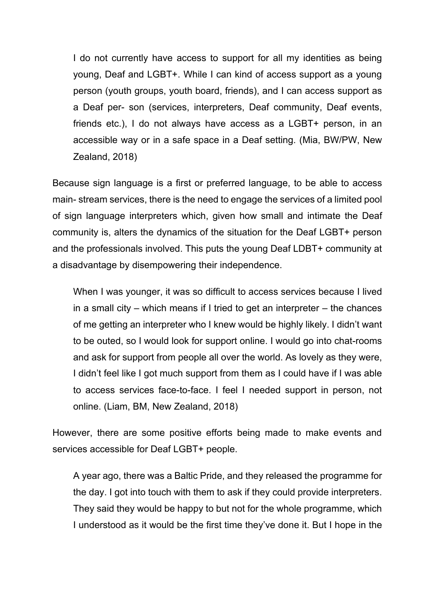I do not currently have access to support for all my identities as being young, Deaf and LGBT+. While I can kind of access support as a young person (youth groups, youth board, friends), and I can access support as a Deaf per- son (services, interpreters, Deaf community, Deaf events, friends etc.), I do not always have access as a LGBT+ person, in an accessible way or in a safe space in a Deaf setting. (Mia, BW/PW, New Zealand, 2018)

Because sign language is a first or preferred language, to be able to access main- stream services, there is the need to engage the services of a limited pool of sign language interpreters which, given how small and intimate the Deaf community is, alters the dynamics of the situation for the Deaf LGBT+ person and the professionals involved. This puts the young Deaf LDBT+ community at a disadvantage by disempowering their independence.

When I was younger, it was so difficult to access services because I lived in a small city – which means if I tried to get an interpreter – the chances of me getting an interpreter who I knew would be highly likely. I didn't want to be outed, so I would look for support online. I would go into chat-rooms and ask for support from people all over the world. As lovely as they were, I didn't feel like I got much support from them as I could have if I was able to access services face-to-face. I feel I needed support in person, not online. (Liam, BM, New Zealand, 2018)

However, there are some positive efforts being made to make events and services accessible for Deaf LGBT+ people.

A year ago, there was a Baltic Pride, and they released the programme for the day. I got into touch with them to ask if they could provide interpreters. They said they would be happy to but not for the whole programme, which I understood as it would be the first time they've done it. But I hope in the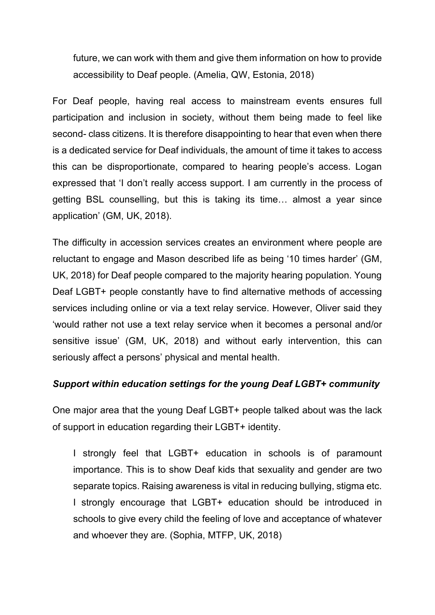future, we can work with them and give them information on how to provide accessibility to Deaf people. (Amelia, QW, Estonia, 2018)

For Deaf people, having real access to mainstream events ensures full participation and inclusion in society, without them being made to feel like second- class citizens. It is therefore disappointing to hear that even when there is a dedicated service for Deaf individuals, the amount of time it takes to access this can be disproportionate, compared to hearing people's access. Logan expressed that 'I don't really access support. I am currently in the process of getting BSL counselling, but this is taking its time… almost a year since application' (GM, UK, 2018).

The difficulty in accession services creates an environment where people are reluctant to engage and Mason described life as being '10 times harder' (GM, UK, 2018) for Deaf people compared to the majority hearing population. Young Deaf LGBT+ people constantly have to find alternative methods of accessing services including online or via a text relay service. However, Oliver said they 'would rather not use a text relay service when it becomes a personal and/or sensitive issue' (GM, UK, 2018) and without early intervention, this can seriously affect a persons' physical and mental health.

#### *Support within education settings for the young Deaf LGBT+ community*

One major area that the young Deaf LGBT+ people talked about was the lack of support in education regarding their LGBT+ identity.

I strongly feel that LGBT+ education in schools is of paramount importance. This is to show Deaf kids that sexuality and gender are two separate topics. Raising awareness is vital in reducing bullying, stigma etc. I strongly encourage that LGBT+ education should be introduced in schools to give every child the feeling of love and acceptance of whatever and whoever they are. (Sophia, MTFP, UK, 2018)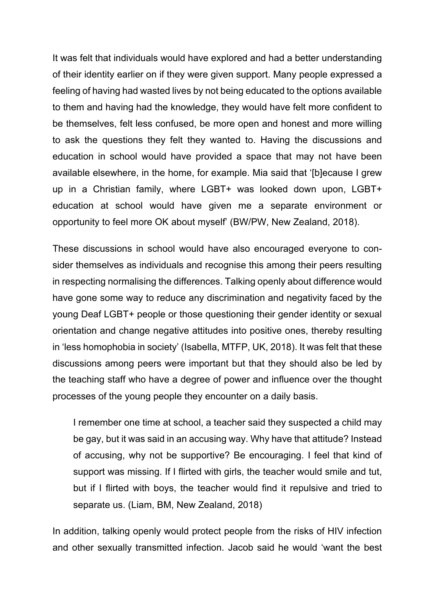It was felt that individuals would have explored and had a better understanding of their identity earlier on if they were given support. Many people expressed a feeling of having had wasted lives by not being educated to the options available to them and having had the knowledge, they would have felt more confident to be themselves, felt less confused, be more open and honest and more willing to ask the questions they felt they wanted to. Having the discussions and education in school would have provided a space that may not have been available elsewhere, in the home, for example. Mia said that '[b]ecause I grew up in a Christian family, where LGBT+ was looked down upon, LGBT+ education at school would have given me a separate environment or opportunity to feel more OK about myself' (BW/PW, New Zealand, 2018).

These discussions in school would have also encouraged everyone to consider themselves as individuals and recognise this among their peers resulting in respecting normalising the differences. Talking openly about difference would have gone some way to reduce any discrimination and negativity faced by the young Deaf LGBT+ people or those questioning their gender identity or sexual orientation and change negative attitudes into positive ones, thereby resulting in 'less homophobia in society' (Isabella, MTFP, UK, 2018). It was felt that these discussions among peers were important but that they should also be led by the teaching staff who have a degree of power and influence over the thought processes of the young people they encounter on a daily basis.

I remember one time at school, a teacher said they suspected a child may be gay, but it was said in an accusing way. Why have that attitude? Instead of accusing, why not be supportive? Be encouraging. I feel that kind of support was missing. If I flirted with girls, the teacher would smile and tut, but if I flirted with boys, the teacher would find it repulsive and tried to separate us. (Liam, BM, New Zealand, 2018)

In addition, talking openly would protect people from the risks of HIV infection and other sexually transmitted infection. Jacob said he would 'want the best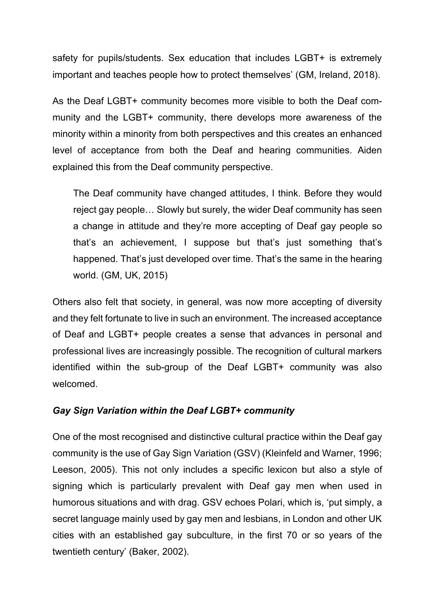safety for pupils/students. Sex education that includes LGBT+ is extremely important and teaches people how to protect themselves' (GM, Ireland, 2018).

As the Deaf LGBT+ community becomes more visible to both the Deaf community and the LGBT+ community, there develops more awareness of the minority within a minority from both perspectives and this creates an enhanced level of acceptance from both the Deaf and hearing communities. Aiden explained this from the Deaf community perspective.

The Deaf community have changed attitudes, I think. Before they would reject gay people… Slowly but surely, the wider Deaf community has seen a change in attitude and they're more accepting of Deaf gay people so that's an achievement, I suppose but that's just something that's happened. That's just developed over time. That's the same in the hearing world. (GM, UK, 2015)

Others also felt that society, in general, was now more accepting of diversity and they felt fortunate to live in such an environment. The increased acceptance of Deaf and LGBT+ people creates a sense that advances in personal and professional lives are increasingly possible. The recognition of cultural markers identified within the sub-group of the Deaf LGBT+ community was also welcomed.

#### *Gay Sign Variation within the Deaf LGBT+ community*

One of the most recognised and distinctive cultural practice within the Deaf gay community is the use of Gay Sign Variation (GSV) (Kleinfeld and Warner, 1996; Leeson, 2005). This not only includes a specific lexicon but also a style of signing which is particularly prevalent with Deaf gay men when used in humorous situations and with drag. GSV echoes Polari, which is, 'put simply, a secret language mainly used by gay men and lesbians, in London and other UK cities with an established gay subculture, in the first 70 or so years of the twentieth century' (Baker, 2002).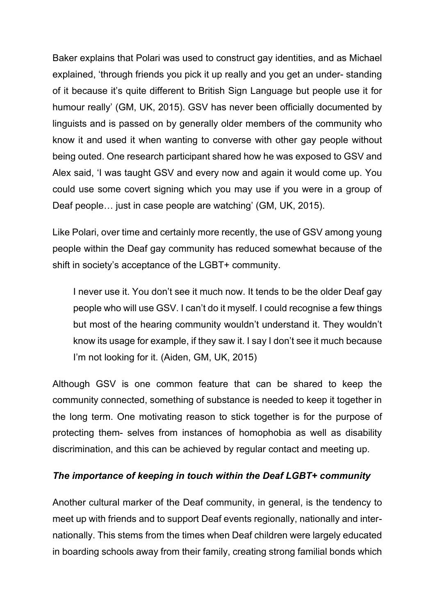Baker explains that Polari was used to construct gay identities, and as Michael explained, 'through friends you pick it up really and you get an under- standing of it because it's quite different to British Sign Language but people use it for humour really' (GM, UK, 2015). GSV has never been officially documented by linguists and is passed on by generally older members of the community who know it and used it when wanting to converse with other gay people without being outed. One research participant shared how he was exposed to GSV and Alex said, 'I was taught GSV and every now and again it would come up. You could use some covert signing which you may use if you were in a group of Deaf people… just in case people are watching' (GM, UK, 2015).

Like Polari, over time and certainly more recently, the use of GSV among young people within the Deaf gay community has reduced somewhat because of the shift in society's acceptance of the LGBT+ community.

I never use it. You don't see it much now. It tends to be the older Deaf gay people who will use GSV. I can't do it myself. I could recognise a few things but most of the hearing community wouldn't understand it. They wouldn't know its usage for example, if they saw it. I say I don't see it much because I'm not looking for it. (Aiden, GM, UK, 2015)

Although GSV is one common feature that can be shared to keep the community connected, something of substance is needed to keep it together in the long term. One motivating reason to stick together is for the purpose of protecting them- selves from instances of homophobia as well as disability discrimination, and this can be achieved by regular contact and meeting up.

#### *The importance of keeping in touch within the Deaf LGBT+ community*

Another cultural marker of the Deaf community, in general, is the tendency to meet up with friends and to support Deaf events regionally, nationally and internationally. This stems from the times when Deaf children were largely educated in boarding schools away from their family, creating strong familial bonds which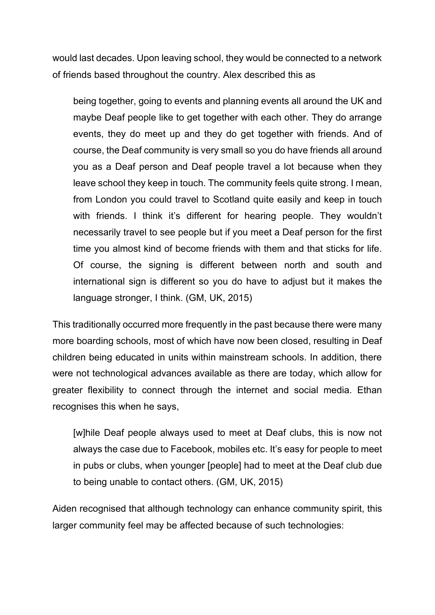would last decades. Upon leaving school, they would be connected to a network of friends based throughout the country. Alex described this as

being together, going to events and planning events all around the UK and maybe Deaf people like to get together with each other. They do arrange events, they do meet up and they do get together with friends. And of course, the Deaf community is very small so you do have friends all around you as a Deaf person and Deaf people travel a lot because when they leave school they keep in touch. The community feels quite strong. I mean, from London you could travel to Scotland quite easily and keep in touch with friends. I think it's different for hearing people. They wouldn't necessarily travel to see people but if you meet a Deaf person for the first time you almost kind of become friends with them and that sticks for life. Of course, the signing is different between north and south and international sign is different so you do have to adjust but it makes the language stronger, I think. (GM, UK, 2015)

This traditionally occurred more frequently in the past because there were many more boarding schools, most of which have now been closed, resulting in Deaf children being educated in units within mainstream schools. In addition, there were not technological advances available as there are today, which allow for greater flexibility to connect through the internet and social media. Ethan recognises this when he says,

[w]hile Deaf people always used to meet at Deaf clubs, this is now not always the case due to Facebook, mobiles etc. It's easy for people to meet in pubs or clubs, when younger [people] had to meet at the Deaf club due to being unable to contact others. (GM, UK, 2015)

Aiden recognised that although technology can enhance community spirit, this larger community feel may be affected because of such technologies: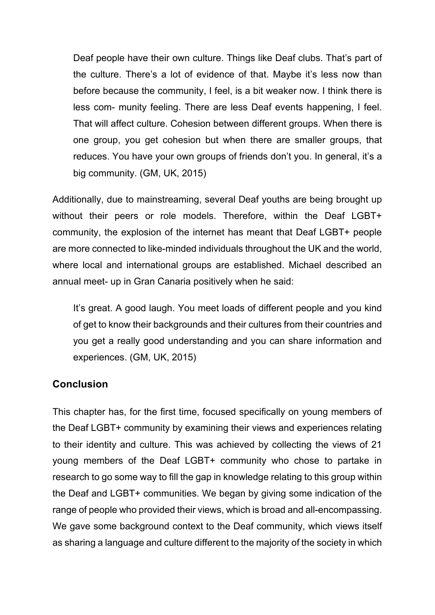Deaf people have their own culture. Things like Deaf clubs. That's part of the culture. There's a lot of evidence of that. Maybe it's less now than before because the community, I feel, is a bit weaker now. I think there is less com- munity feeling. There are less Deaf events happening, I feel. That will affect culture. Cohesion between different groups. When there is one group, you get cohesion but when there are smaller groups, that reduces. You have your own groups of friends don't you. In general, it's a big community. (GM, UK, 2015)

Additionally, due to mainstreaming, several Deaf youths are being brought up without their peers or role models. Therefore, within the Deaf LGBT+ community, the explosion of the internet has meant that Deaf LGBT+ people are more connected to like-minded individuals throughout the UK and the world, where local and international groups are established. Michael described an annual meet- up in Gran Canaria positively when he said:

It's great. A good laugh. You meet loads of different people and you kind of get to know their backgrounds and their cultures from their countries and you get a really good understanding and you can share information and experiences. (GM, UK, 2015)

## **Conclusion**

This chapter has, for the first time, focused specifically on young members of the Deaf LGBT+ community by examining their views and experiences relating to their identity and culture. This was achieved by collecting the views of 21 young members of the Deaf LGBT+ community who chose to partake in research to go some way to fill the gap in knowledge relating to this group within the Deaf and LGBT+ communities. We began by giving some indication of the range of people who provided their views, which is broad and all-encompassing. We gave some background context to the Deaf community, which views itself as sharing a language and culture different to the majority of the society in which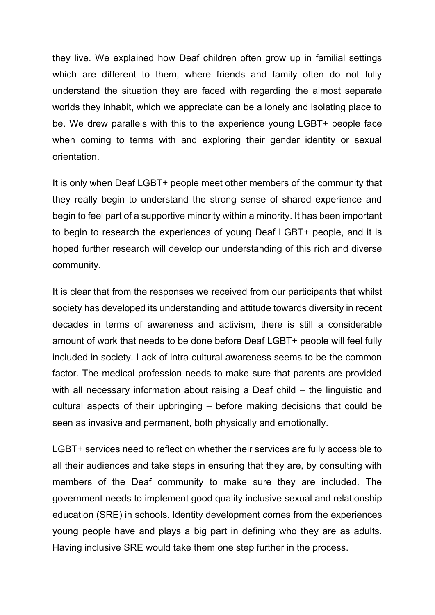they live. We explained how Deaf children often grow up in familial settings which are different to them, where friends and family often do not fully understand the situation they are faced with regarding the almost separate worlds they inhabit, which we appreciate can be a lonely and isolating place to be. We drew parallels with this to the experience young LGBT+ people face when coming to terms with and exploring their gender identity or sexual orientation.

It is only when Deaf LGBT+ people meet other members of the community that they really begin to understand the strong sense of shared experience and begin to feel part of a supportive minority within a minority. It has been important to begin to research the experiences of young Deaf LGBT+ people, and it is hoped further research will develop our understanding of this rich and diverse community.

It is clear that from the responses we received from our participants that whilst society has developed its understanding and attitude towards diversity in recent decades in terms of awareness and activism, there is still a considerable amount of work that needs to be done before Deaf LGBT+ people will feel fully included in society. Lack of intra-cultural awareness seems to be the common factor. The medical profession needs to make sure that parents are provided with all necessary information about raising a Deaf child – the linguistic and cultural aspects of their upbringing – before making decisions that could be seen as invasive and permanent, both physically and emotionally.

LGBT+ services need to reflect on whether their services are fully accessible to all their audiences and take steps in ensuring that they are, by consulting with members of the Deaf community to make sure they are included. The government needs to implement good quality inclusive sexual and relationship education (SRE) in schools. Identity development comes from the experiences young people have and plays a big part in defining who they are as adults. Having inclusive SRE would take them one step further in the process.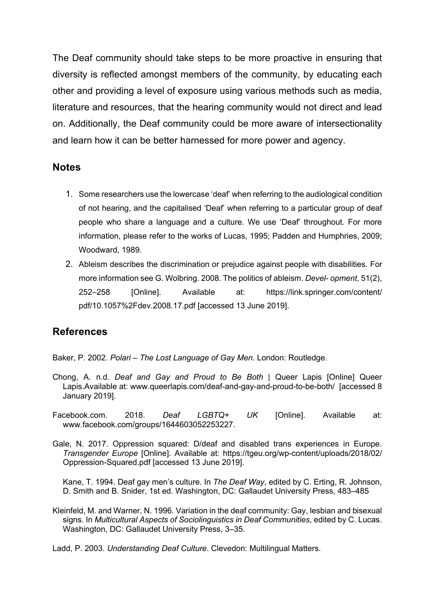The Deaf community should take steps to be more proactive in ensuring that diversity is reflected amongst members of the community, by educating each other and providing a level of exposure using various methods such as media, literature and resources, that the hearing community would not direct and lead on. Additionally, the Deaf community could be more aware of intersectionality and learn how it can be better harnessed for more power and agency.

#### **Notes**

- 1. Some researchers use the lowercase 'deaf' when referring to the audiological condition of not hearing, and the capitalised 'Deaf' when referring to a particular group of deaf people who share a language and a culture. We use 'Deaf' throughout. For more information, please refer to the works of Lucas, 1995; Padden and Humphries, 2009; Woodward, 1989.
- 2. Ableism describes the discrimination or prejudice against people with disabilities. For more information see G. Wolbring. 2008. The politics of ableism. *Devel- opment*, 51(2), 252–258 [Online]. Available at: https://link.springer.com/content/ pdf/10.1057%2Fdev.2008.17.pdf [accessed 13 June 2019].

#### **References**

Baker, P. 2002. *Polari – The Lost Language of Gay Men*. London: Routledge.

- Chong, A. n.d. *Deaf and Gay and Proud to Be Both* | Queer Lapis [Online] Queer Lapis.Available at: www.queerlapis.com/deaf-and-gay-and-proud-to-be-both/ [accessed 8 January 2019].
- Facebook.com. 2018. *Deaf LGBTQ+ UK* [Online]. Available at: www.facebook.com/groups/1644603052253227.
- Gale, N. 2017. Oppression squared: D/deaf and disabled trans experiences in Europe. *Transgender Europe* [Online]. Available at: https://tgeu.org/wp-content/uploads/2018/02/ Oppression-Squared.pdf [accessed 13 June 2019].

Kane, T. 1994. Deaf gay men's culture. In *The Deaf Way*, edited by C. Erting, R. Johnson, D. Smith and B. Snider, 1st ed. Washington, DC: Gallaudet University Press, 483–485

Kleinfeld, M. and Warner, N. 1996. Variation in the deaf community: Gay, lesbian and bisexual signs. In *Multicultural Aspects of Sociolinguistics in Deaf Communities*, edited by C. Lucas. Washington, DC: Gallaudet University Press, 3–35.

Ladd, P. 2003. *Understanding Deaf Culture*. Clevedon: Multilingual Matters.